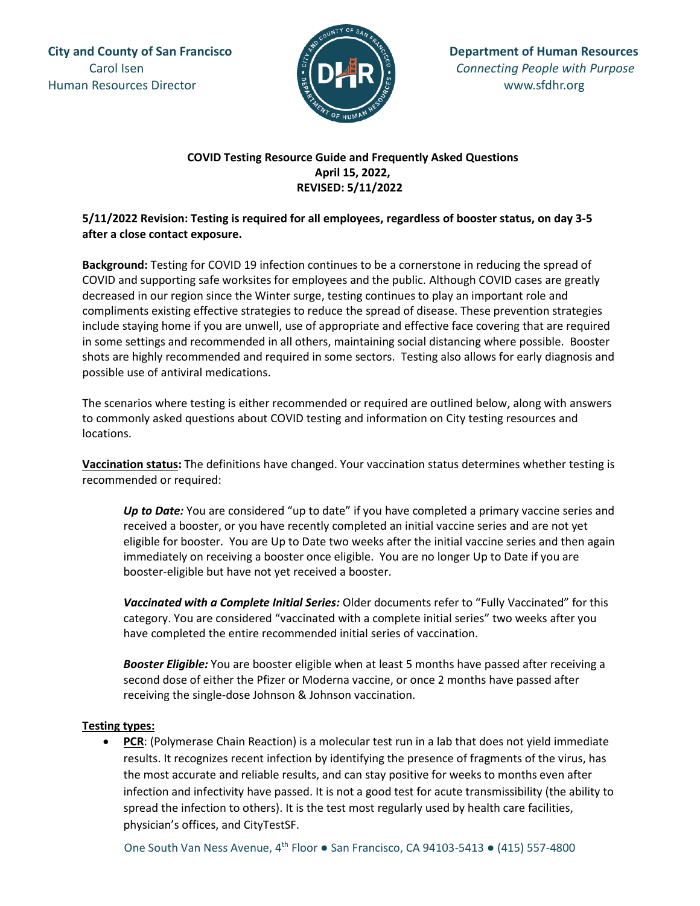Human Resources Director **www.sfdhr.org** 



# **COVID Testing Resource Guide and Frequently Asked Questions April 15, 2022, REVISED: 5/11/2022**

# **5/11/2022 Revision: Testing is required for all employees, regardless of booster status, on day 3-5 after a close contact exposure.**

**Background:** Testing for COVID 19 infection continues to be a cornerstone in reducing the spread of COVID and supporting safe worksites for employees and the public. Although COVID cases are greatly decreased in our region since the Winter surge, testing continues to play an important role and compliments existing effective strategies to reduce the spread of disease. These prevention strategies include staying home if you are unwell, use of appropriate and effective face covering that are required in some settings and recommended in all others, maintaining social distancing where possible. Booster shots are highly recommended and required in some sectors. Testing also allows for early diagnosis and possible use of antiviral medications.

The scenarios where testing is either recommended or required are outlined below, along with answers to commonly asked questions about COVID testing and information on City testing resources and locations.

**Vaccination status:** The definitions have changed. Your vaccination status determines whether testing is recommended or required:

Up to Date: You are considered "up to date" if you have completed a primary vaccine series and received a booster, or you have recently completed an initial vaccine series and are not yet eligible for booster. You are Up to Date two weeks after the initial vaccine series and then again immediately on receiving a booster once eligible. You are no longer Up to Date if you are booster-eligible but have not yet received a booster.

*Vaccinated with a Complete Initial Series:* Older documents refer to "Fully Vaccinated" for this category. You are considered "vaccinated with a complete initial series" two weeks after you have completed the entire recommended initial series of vaccination.

*Booster Eligible:* You are booster eligible when at least 5 months have passed after receiving a second dose of either the Pfizer or Moderna vaccine, or once 2 months have passed after receiving the single-dose Johnson & Johnson vaccination.

## **Testing types:**

• **PCR**: (Polymerase Chain Reaction) is a molecular test run in a lab that does not yield immediate results. It recognizes recent infection by identifying the presence of fragments of the virus, has the most accurate and reliable results, and can stay positive for weeks to months even after infection and infectivity have passed. It is not a good test for acute transmissibility (the ability to spread the infection to others). It is the test most regularly used by health care facilities, physician's offices, and CityTestSF.

One South Van Ness Avenue, 4th Floor **●** San Francisco, CA 94103-5413 ● (415) 557-4800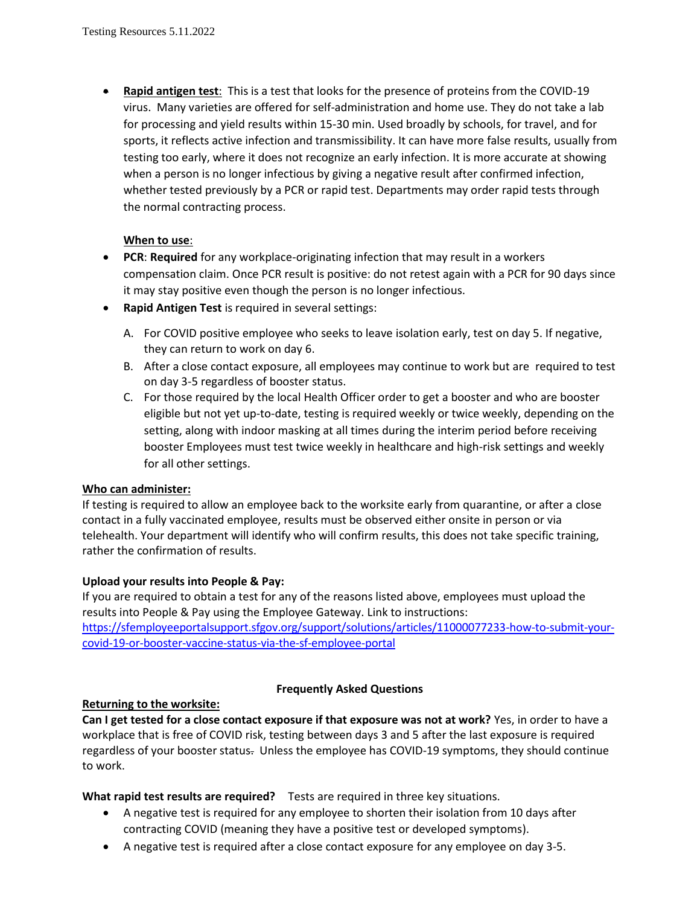• **Rapid antigen test**: This is a test that looks for the presence of proteins from the COVID-19 virus. Many varieties are offered for self-administration and home use. They do not take a lab for processing and yield results within 15-30 min. Used broadly by schools, for travel, and for sports, it reflects active infection and transmissibility. It can have more false results, usually from testing too early, where it does not recognize an early infection. It is more accurate at showing when a person is no longer infectious by giving a negative result after confirmed infection, whether tested previously by a PCR or rapid test. Departments may order rapid tests through the normal contracting process.

### **When to use**:

- **PCR**: **Required** for any workplace-originating infection that may result in a workers compensation claim. Once PCR result is positive: do not retest again with a PCR for 90 days since it may stay positive even though the person is no longer infectious.
- **Rapid Antigen Test** is required in several settings:
	- A. For COVID positive employee who seeks to leave isolation early, test on day 5. If negative, they can return to work on day 6.
	- B. After a close contact exposure, all employees may continue to work but are required to test on day 3-5 regardless of booster status.
	- C. For those required by the local Health Officer order to get a booster and who are booster eligible but not yet up-to-date, testing is required weekly or twice weekly, depending on the setting, along with indoor masking at all times during the interim period before receiving booster Employees must test twice weekly in healthcare and high-risk settings and weekly for all other settings.

#### **Who can administer:**

If testing is required to allow an employee back to the worksite early from quarantine, or after a close contact in a fully vaccinated employee, results must be observed either onsite in person or via telehealth. Your department will identify who will confirm results, this does not take specific training, rather the confirmation of results.

#### **Upload your results into People & Pay:**

If you are required to obtain a test for any of the reasons listed above, employees must upload the results into People & Pay using the Employee Gateway. Link to instructions: [https://sfemployeeportalsupport.sfgov.org/support/solutions/articles/11000077233-how-to-submit-your-](https://sfemployeeportalsupport.sfgov.org/support/solutions/articles/11000077233-how-to-submit-your-covid-19-or-booster-vaccine-status-via-the-sf-employee-portal)

[covid-19-or-booster-vaccine-status-via-the-sf-employee-portal](https://sfemployeeportalsupport.sfgov.org/support/solutions/articles/11000077233-how-to-submit-your-covid-19-or-booster-vaccine-status-via-the-sf-employee-portal)

## **Frequently Asked Questions**

## **Returning to the worksite:**

**Can I get tested for a close contact exposure if that exposure was not at work?** Yes, in order to have a workplace that is free of COVID risk, testing between days 3 and 5 after the last exposure is required regardless of your booster status. Unless the employee has COVID-19 symptoms, they should continue to work.

**What rapid test results are required?** Tests are required in three key situations.

- A negative test is required for any employee to shorten their isolation from 10 days after contracting COVID (meaning they have a positive test or developed symptoms).
- A negative test is required after a close contact exposure for any employee on day 3-5.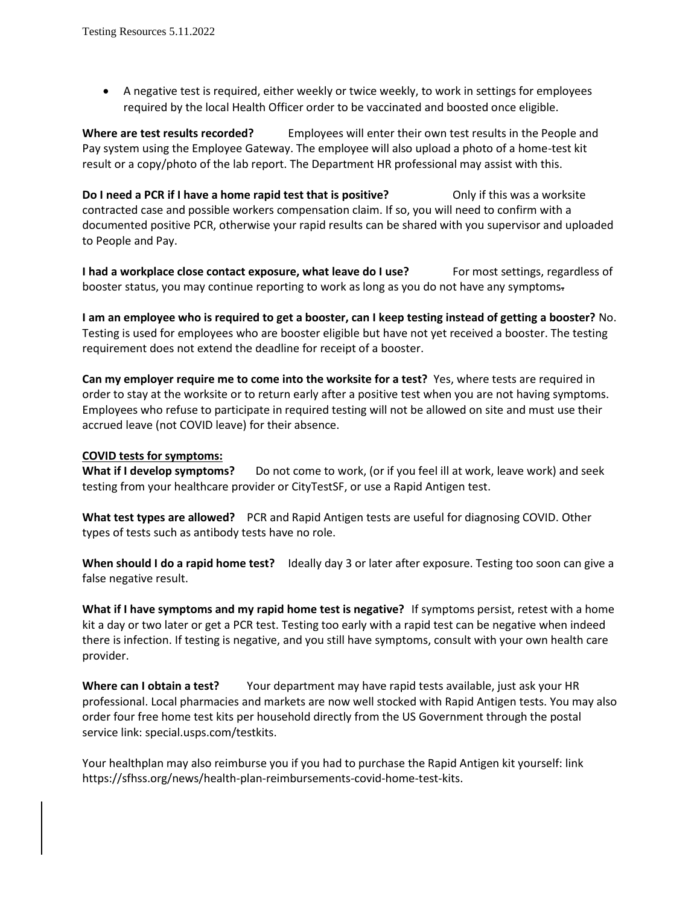• A negative test is required, either weekly or twice weekly, to work in settings for employees required by the local Health Officer order to be vaccinated and boosted once eligible.

**Where are test results recorded?** Employees will enter their own test results in the People and Pay system using the Employee Gateway. The employee will also upload a photo of a home-test kit result or a copy/photo of the lab report. The Department HR professional may assist with this.

**Do I need a PCR if I have a home rapid test that is positive?** Only if this was a worksite contracted case and possible workers compensation claim. If so, you will need to confirm with a documented positive PCR, otherwise your rapid results can be shared with you supervisor and uploaded to People and Pay.

**I had a workplace close contact exposure, what leave do I use?** For most settings, regardless of booster status, you may continue reporting to work as long as you do not have any symptoms.

**I am an employee who is required to get a booster, can I keep testing instead of getting a booster?** No. Testing is used for employees who are booster eligible but have not yet received a booster. The testing requirement does not extend the deadline for receipt of a booster.

**Can my employer require me to come into the worksite for a test?** Yes, where tests are required in order to stay at the worksite or to return early after a positive test when you are not having symptoms. Employees who refuse to participate in required testing will not be allowed on site and must use their accrued leave (not COVID leave) for their absence.

#### **COVID tests for symptoms:**

What if I develop symptoms? Do not come to work, (or if you feel ill at work, leave work) and seek testing from your healthcare provider or CityTestSF, or use a Rapid Antigen test.

**What test types are allowed?** PCR and Rapid Antigen tests are useful for diagnosing COVID. Other types of tests such as antibody tests have no role.

**When should I do a rapid home test?** Ideally day 3 or later after exposure. Testing too soon can give a false negative result.

**What if I have symptoms and my rapid home test is negative?** If symptoms persist, retest with a home kit a day or two later or get a PCR test. Testing too early with a rapid test can be negative when indeed there is infection. If testing is negative, and you still have symptoms, consult with your own health care provider.

**Where can I obtain a test?** Your department may have rapid tests available, just ask your HR professional. Local pharmacies and markets are now well stocked with Rapid Antigen tests. You may also order four free home test kits per household directly from the US Government through the postal service link: special.usps.com/testkits.

Your healthplan may also reimburse you if you had to purchase the Rapid Antigen kit yourself: link https://sfhss.org/news/health-plan-reimbursements-covid-home-test-kits.